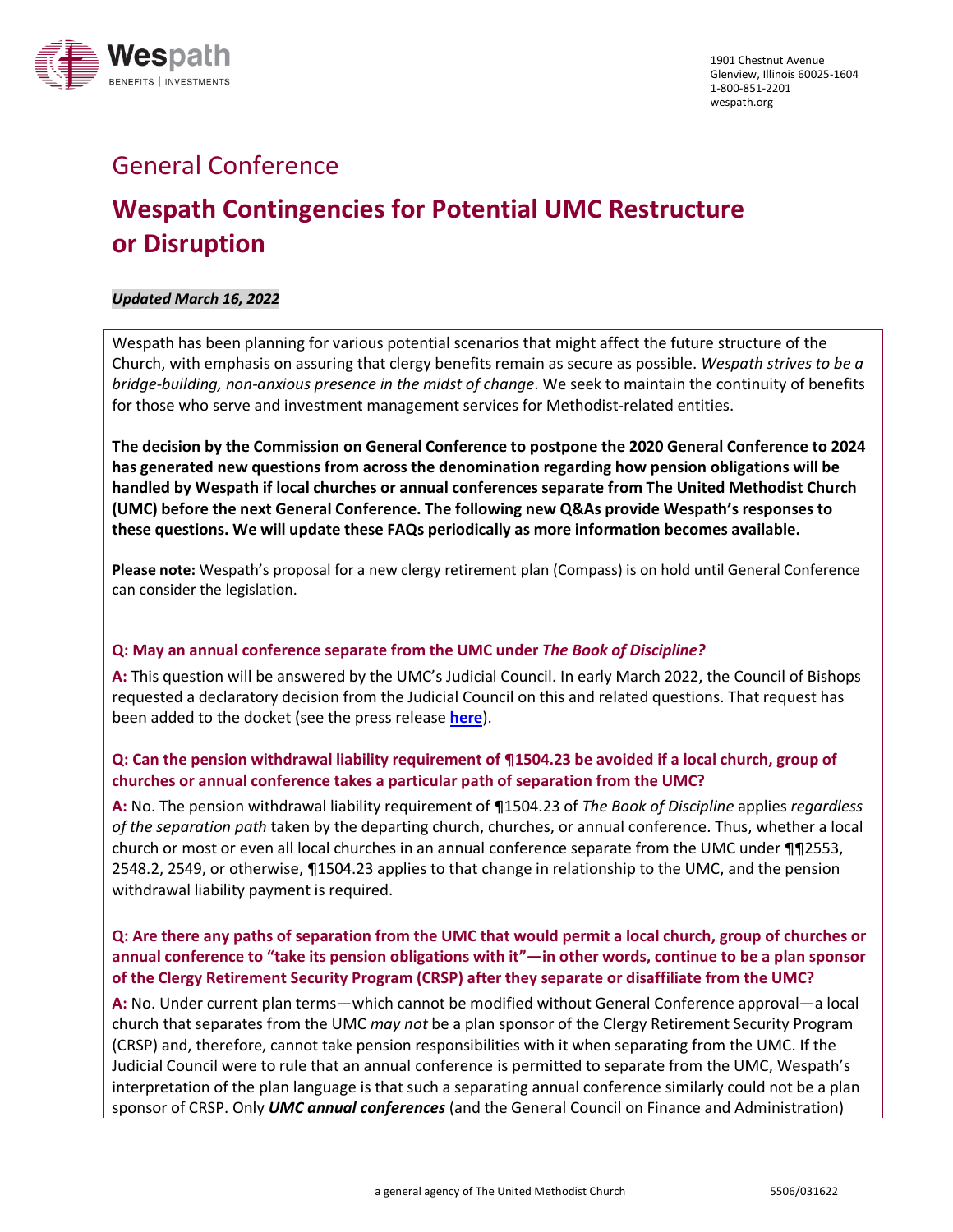

## General Conference

# **Wespath Contingencies for Potential UMC Restructure or Disruption**

## *Updated March 16, 2022*

Wespath has been planning for various potential scenarios that might affect the future structure of the Church, with emphasis on assuring that clergy benefits remain as secure as possible. *Wespath strives to be a bridge-building, non-anxious presence in the midst of change*. We seek to maintain the continuity of benefits for those who serve and investment management services for Methodist-related entities.

**The decision by the Commission on General Conference to postpone the 2020 General Conference to 2024 has generated new questions from across the denomination regarding how pension obligations will be handled by Wespath if local churches or annual conferences separate from The United Methodist Church (UMC) before the next General Conference. The following new Q&As provide Wespath's responses to these questions. We will update these FAQs periodically as more information becomes available.**

**Please note:** Wespath's proposal for a new clergy retirement plan (Compass) is on hold until General Conference can consider the legislation.

## **Q: May an annual conference separate from the UMC under** *The Book of Discipline?*

**A:** This question will be answered by the UMC's Judicial Council. In early March 2022, the Council of Bishops requested a declaratory decision from the Judicial Council on this and related questions. That request has been added to the docket (see the press release **[here](https://www.resourceumc.org/en/content/church-court-adds-annual-conference-questions-to-docket?mkt_tok=MDc4LUpYUS02NDMAAAGDGd0WtFqCi1qVrhR1mnElFWAPQ_auSYv_LGOFlO2jdoeqldqtdaE3pZGw_o4E-ybXuyb5hKmpAHD-TOUrnwEGPgaw-nlG6wIvO3YiyECMHx7hveQ)**).

## **Q: Can the pension withdrawal liability requirement of ¶1504.23 be avoided if a local church, group of churches or annual conference takes a particular path of separation from the UMC?**

**A:** No. The pension withdrawal liability requirement of ¶1504.23 of *The Book of Discipline* applies *regardless of the separation path* taken by the departing church, churches, or annual conference. Thus, whether a local church or most or even all local churches in an annual conference separate from the UMC under ¶¶2553, 2548.2, 2549, or otherwise, ¶1504.23 applies to that change in relationship to the UMC, and the pension withdrawal liability payment is required.

## **Q: Are there any paths of separation from the UMC that would permit a local church, group of churches or annual conference to "take its pension obligations with it"—in other words, continue to be a plan sponsor of the Clergy Retirement Security Program (CRSP) after they separate or disaffiliate from the UMC?**

**A:** No. Under current plan terms—which cannot be modified without General Conference approval—a local church that separates from the UMC *may not* be a plan sponsor of the Clergy Retirement Security Program (CRSP) and, therefore, cannot take pension responsibilities with it when separating from the UMC. If the Judicial Council were to rule that an annual conference is permitted to separate from the UMC, Wespath's interpretation of the plan language is that such a separating annual conference similarly could not be a plan sponsor of CRSP. Only *UMC annual conferences* (and the General Council on Finance and Administration)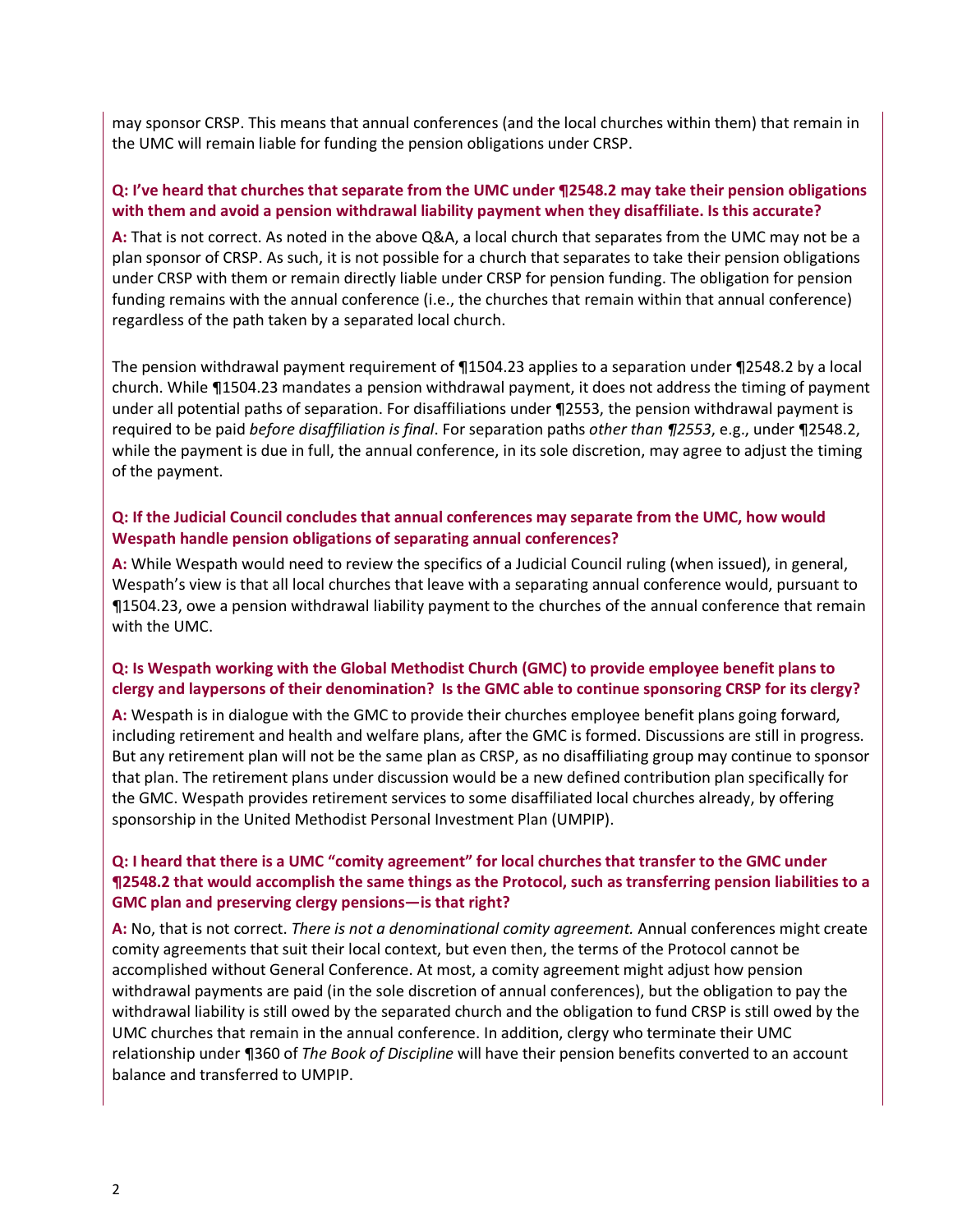may sponsor CRSP. This means that annual conferences (and the local churches within them) that remain in the UMC will remain liable for funding the pension obligations under CRSP.

## **Q: I've heard that churches that separate from the UMC under ¶2548.2 may take their pension obligations with them and avoid a pension withdrawal liability payment when they disaffiliate. Is this accurate?**

**A:** That is not correct. As noted in the above Q&A, a local church that separates from the UMC may not be a plan sponsor of CRSP. As such, it is not possible for a church that separates to take their pension obligations under CRSP with them or remain directly liable under CRSP for pension funding. The obligation for pension funding remains with the annual conference (i.e., the churches that remain within that annual conference) regardless of the path taken by a separated local church.

The pension withdrawal payment requirement of ¶1504.23 applies to a separation under ¶2548.2 by a local church. While ¶1504.23 mandates a pension withdrawal payment, it does not address the timing of payment under all potential paths of separation. For disaffiliations under ¶2553, the pension withdrawal payment is required to be paid *before disaffiliation is final*. For separation paths *other than ¶2553*, e.g., under ¶2548.2, while the payment is due in full, the annual conference, in its sole discretion, may agree to adjust the timing of the payment.

## **Q: If the Judicial Council concludes that annual conferences may separate from the UMC, how would Wespath handle pension obligations of separating annual conferences?**

**A:** While Wespath would need to review the specifics of a Judicial Council ruling (when issued), in general, Wespath's view is that all local churches that leave with a separating annual conference would, pursuant to ¶1504.23, owe a pension withdrawal liability payment to the churches of the annual conference that remain with the UMC.

## **Q: Is Wespath working with the Global Methodist Church (GMC) to provide employee benefit plans to clergy and laypersons of their denomination? Is the GMC able to continue sponsoring CRSP for its clergy?**

**A:** Wespath is in dialogue with the GMC to provide their churches employee benefit plans going forward, including retirement and health and welfare plans, after the GMC is formed. Discussions are still in progress. But any retirement plan will not be the same plan as CRSP, as no disaffiliating group may continue to sponsor that plan. The retirement plans under discussion would be a new defined contribution plan specifically for the GMC. Wespath provides retirement services to some disaffiliated local churches already, by offering sponsorship in the United Methodist Personal Investment Plan (UMPIP).

## **Q: I heard that there is a UMC "comity agreement" for local churches that transfer to the GMC under ¶2548.2 that would accomplish the same things as the Protocol, such as transferring pension liabilities to a GMC plan and preserving clergy pensions—is that right?**

**A:** No, that is not correct. *There is not a denominational comity agreement.* Annual conferences might create comity agreements that suit their local context, but even then, the terms of the Protocol cannot be accomplished without General Conference. At most, a comity agreement might adjust how pension withdrawal payments are paid (in the sole discretion of annual conferences), but the obligation to pay the withdrawal liability is still owed by the separated church and the obligation to fund CRSP is still owed by the UMC churches that remain in the annual conference. In addition, clergy who terminate their UMC relationship under ¶360 of *The Book of Discipline* will have their pension benefits converted to an account balance and transferred to UMPIP.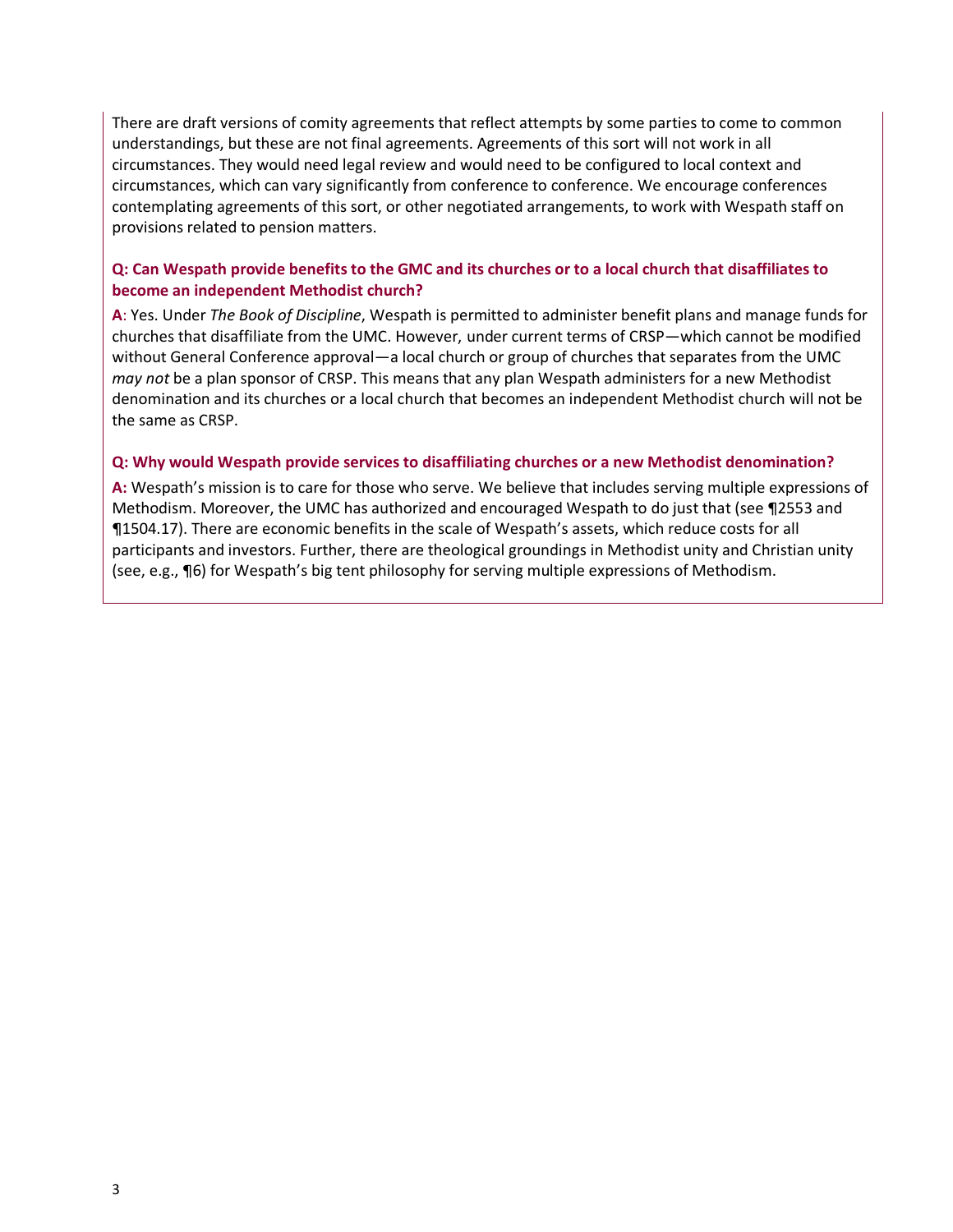There are draft versions of comity agreements that reflect attempts by some parties to come to common understandings, but these are not final agreements. Agreements of this sort will not work in all circumstances. They would need legal review and would need to be configured to local context and circumstances, which can vary significantly from conference to conference. We encourage conferences contemplating agreements of this sort, or other negotiated arrangements, to work with Wespath staff on provisions related to pension matters.

## **Q: Can Wespath provide benefits to the GMC and its churches or to a local church that disaffiliates to become an independent Methodist church?**

**A**: Yes. Under *The Book of Discipline*, Wespath is permitted to administer benefit plans and manage funds for churches that disaffiliate from the UMC. However, under current terms of CRSP—which cannot be modified without General Conference approval—a local church or group of churches that separates from the UMC *may not* be a plan sponsor of CRSP. This means that any plan Wespath administers for a new Methodist denomination and its churches or a local church that becomes an independent Methodist church will not be the same as CRSP.

## **Q: Why would Wespath provide services to disaffiliating churches or a new Methodist denomination?**

**A:** Wespath's mission is to care for those who serve. We believe that includes serving multiple expressions of Methodism. Moreover, the UMC has authorized and encouraged Wespath to do just that (see ¶2553 and ¶1504.17). There are economic benefits in the scale of Wespath's assets, which reduce costs for all participants and investors. Further, there are theological groundings in Methodist unity and Christian unity (see, e.g., ¶6) for Wespath's big tent philosophy for serving multiple expressions of Methodism.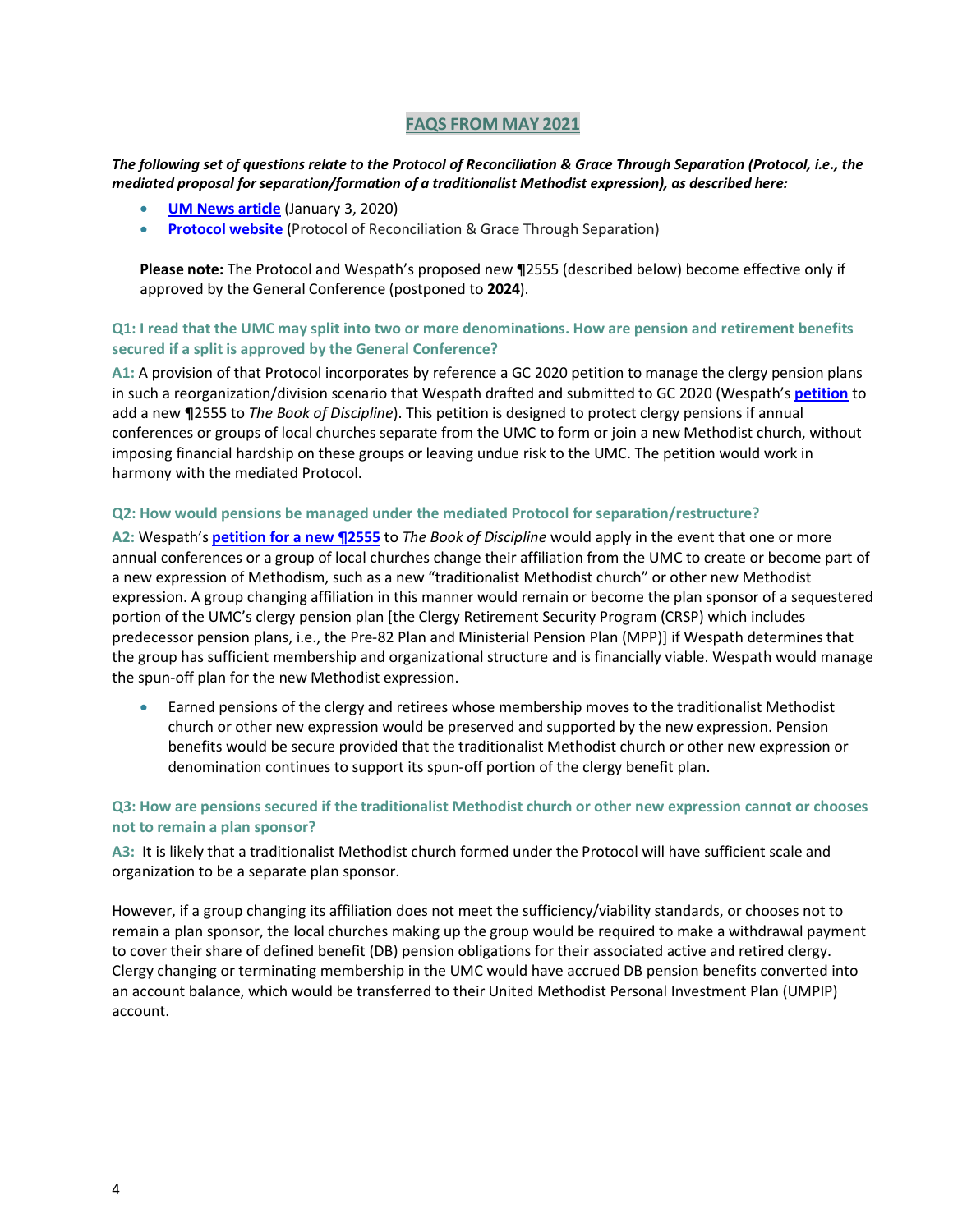#### *The following set of questions relate to the Protocol of Reconciliation & Grace Through Separation (Protocol, i.e., the mediated proposal for separation/formation of a traditionalist Methodist expression), as described here:*

- **[UM News article](https://www.umnews.org/en/news/diverse-leaders-group-offers-separation-plan?mkt_tok=eyJpIjoiWTJWbE1UazNNalpqTWpVMSIsInQiOiJJOFduRFYzMHFRTHJtWUI5ck5tbTlDcDViZFlMQUdSMitDOVlmUWNSRlc2cDAwK0xudG45bUgyUENyb0o5OXhMVXZ0U2haelYrREJGSjA3WEgwQk0yOEZJYVwvV2hEbDduTmpBcTFHbjViMUExTzBESXU2QVU0YkNzMFdKWXJUNGkifQ%3D%3D)** (January 3, 2020)
- **[Protocol website](https://www.gracethroughseparation.com/)** (Protocol of Reconciliation & Grace Through Separation)

**Please note:** The Protocol and Wespath's proposed new ¶2555 (described below) become effective only if approved by the General Conference (postponed to **2024**).

## **Q1: I read that the UMC may split into two or more denominations. How are pension and retirement benefits secured if a split is approved by the General Conference?**

**A1:** A provision of that Protocol incorporates by reference a GC 2020 petition to manage the clergy pension plans in such a reorganization/division scenario that Wespath drafted and submitted to GC 2020 (Wespath's **[petition](https://www.wespath.org/assets/1/7/Wespath-Petition-Par-2555.pdf)** to add a new ¶2555 to *The Book of Discipline*). This petition is designed to protect clergy pensions if annual conferences or groups of local churches separate from the UMC to form or join a new Methodist church, without imposing financial hardship on these groups or leaving undue risk to the UMC. The petition would work in harmony with the mediated Protocol.

#### **Q2: How would pensions be managed under the mediated Protocol for separation/restructure?**

**A2:** Wespath's **[petition for a new ¶2555](https://www.wespath.org/assets/1/7/Wespath-Petition-Par-2555.pdf)** to *The Book of Discipline* would apply in the event that one or more annual conferences or a group of local churches change their affiliation from the UMC to create or become part of a new expression of Methodism, such as a new "traditionalist Methodist church" or other new Methodist expression. A group changing affiliation in this manner would remain or become the plan sponsor of a sequestered portion of the UMC's clergy pension plan [the Clergy Retirement Security Program (CRSP) which includes predecessor pension plans, i.e., the Pre-82 Plan and Ministerial Pension Plan (MPP)] if Wespath determines that the group has sufficient membership and organizational structure and is financially viable. Wespath would manage the spun-off plan for the new Methodist expression.

• Earned pensions of the clergy and retirees whose membership moves to the traditionalist Methodist church or other new expression would be preserved and supported by the new expression. Pension benefits would be secure provided that the traditionalist Methodist church or other new expression or denomination continues to support its spun-off portion of the clergy benefit plan.

#### **Q3: How are pensions secured if the traditionalist Methodist church or other new expression cannot or chooses not to remain a plan sponsor?**

**A3:** It is likely that a traditionalist Methodist church formed under the Protocol will have sufficient scale and organization to be a separate plan sponsor.

However, if a group changing its affiliation does not meet the sufficiency/viability standards, or chooses not to remain a plan sponsor, the local churches making up the group would be required to make a withdrawal payment to cover their share of defined benefit (DB) pension obligations for their associated active and retired clergy. Clergy changing or terminating membership in the UMC would have accrued DB pension benefits converted into an account balance, which would be transferred to their United Methodist Personal Investment Plan (UMPIP) account.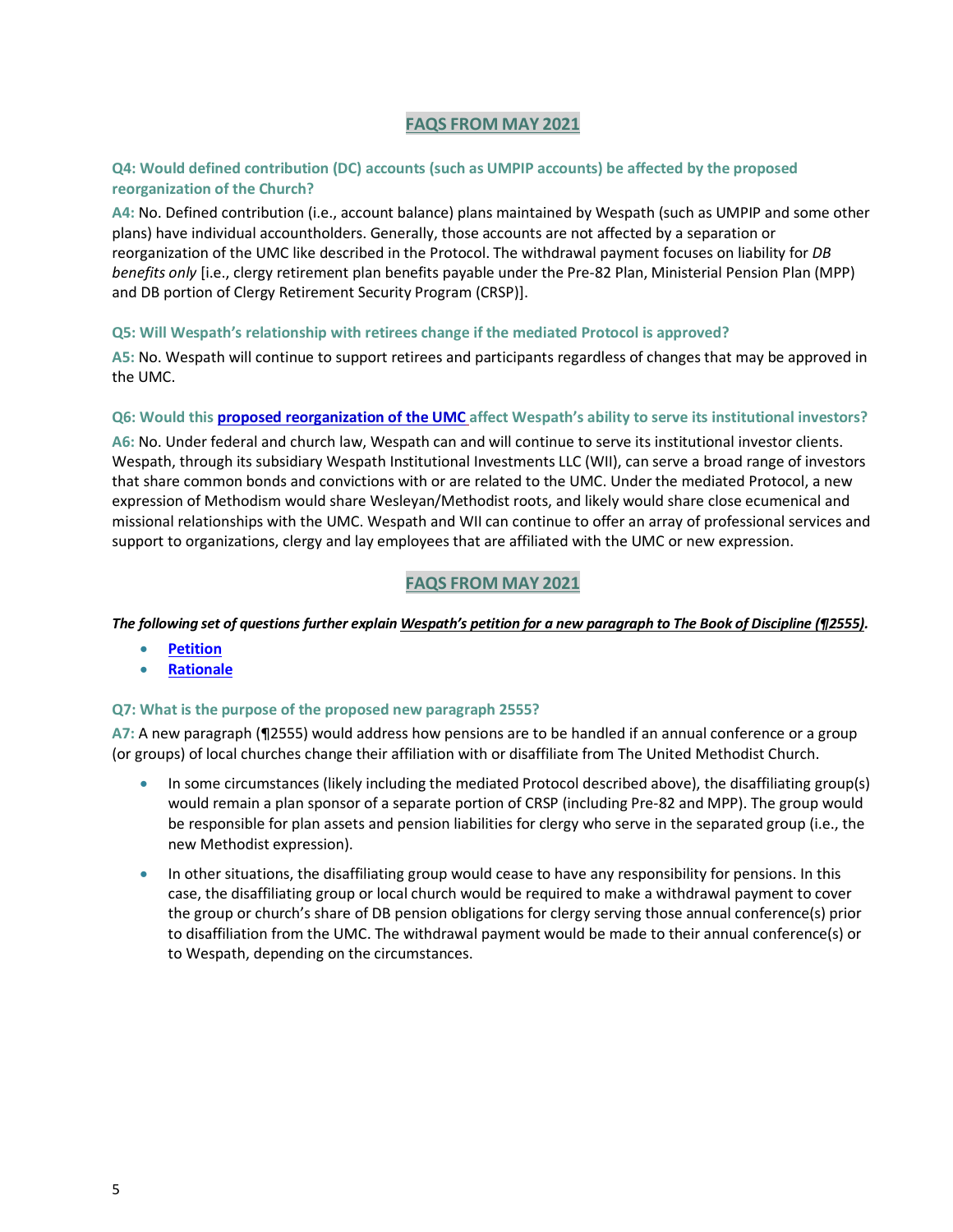### **Q4: Would defined contribution (DC) accounts (such as UMPIP accounts) be affected by the proposed reorganization of the Church?**

**A4:** No. Defined contribution (i.e., account balance) plans maintained by Wespath (such as UMPIP and some other plans) have individual accountholders. Generally, those accounts are not affected by a separation or reorganization of the UMC like described in the Protocol. The withdrawal payment focuses on liability for *DB benefits only* [i.e., clergy retirement plan benefits payable under the Pre-82 Plan, Ministerial Pension Plan (MPP) and DB portion of Clergy Retirement Security Program (CRSP)].

#### **Q5: Will Wespath's relationship with retirees change if the mediated Protocol is approved?**

**A5:** No. Wespath will continue to support retirees and participants regardless of changes that may be approved in the UMC.

#### **Q6: Would thi[s proposed reorganization of the UMC](https://www.umnews.org/en/news/diverse-leaders-group-offers-separation-plan?mkt_tok=eyJpIjoiWTJWbE1UazNNalpqTWpVMSIsInQiOiJJOFduRFYzMHFRTHJtWUI5ck5tbTlDcDViZFlMQUdSMitDOVlmUWNSRlc2cDAwK0xudG45bUgyUENyb0o5OXhMVXZ0U2haelYrREJGSjA3WEgwQk0yOEZJYVwvV2hEbDduTmpBcTFHbjViMUExTzBESXU2QVU0YkNzMFdKWXJUNGkifQ%3D%3D) affect Wespath's ability to serve its institutional investors?**

**A6:** No. Under federal and church law, Wespath can and will continue to serve its institutional investor clients. Wespath, through its subsidiary Wespath Institutional Investments LLC (WII), can serve a broad range of investors that share common bonds and convictions with or are related to the UMC. Under the mediated Protocol, a new expression of Methodism would share Wesleyan/Methodist roots, and likely would share close ecumenical and missional relationships with the UMC. Wespath and WII can continue to offer an array of professional services and support to organizations, clergy and lay employees that are affiliated with the UMC or new expression.

## **FAQS FROM MAY 2021**

#### *The following set of questions further explain Wespath's petition for a new paragraph to The Book of Discipline (¶2555).*

- **[Petition](https://www.wespath.org/assets/1/7/Wespath-Petition-Par-2555.pdf)**
- **[Rationale](https://www.wespath.org/assets/1/7/Wespath-Rationale-Par-2555.pdf)**

#### **Q7: What is the purpose of the proposed new paragraph 2555?**

**A7:** A new paragraph (¶2555) would address how pensions are to be handled if an annual conference or a group (or groups) of local churches change their affiliation with or disaffiliate from The United Methodist Church.

- In some circumstances (likely including the mediated Protocol described above), the disaffiliating group(s) would remain a plan sponsor of a separate portion of CRSP (including Pre-82 and MPP). The group would be responsible for plan assets and pension liabilities for clergy who serve in the separated group (i.e., the new Methodist expression).
- In other situations, the disaffiliating group would cease to have any responsibility for pensions. In this case, the disaffiliating group or local church would be required to make a withdrawal payment to cover the group or church's share of DB pension obligations for clergy serving those annual conference(s) prior to disaffiliation from the UMC. The withdrawal payment would be made to their annual conference(s) or to Wespath, depending on the circumstances.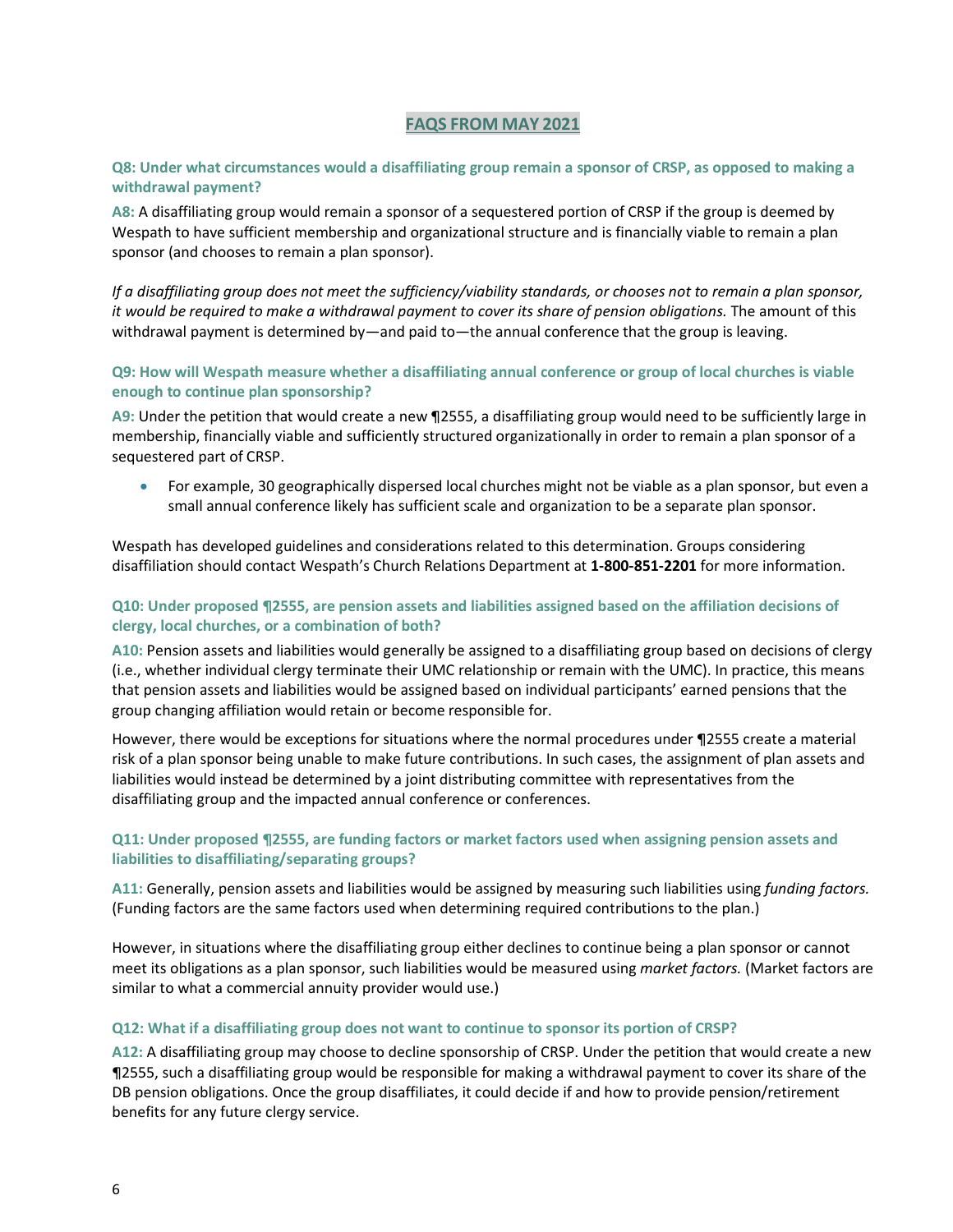#### **Q8: Under what circumstances would a disaffiliating group remain a sponsor of CRSP, as opposed to making a withdrawal payment?**

**A8:** A disaffiliating group would remain a sponsor of a sequestered portion of CRSP if the group is deemed by Wespath to have sufficient membership and organizational structure and is financially viable to remain a plan sponsor (and chooses to remain a plan sponsor).

*If a disaffiliating group does not meet the sufficiency/viability standards, or chooses not to remain a plan sponsor, it would be required to make a withdrawal payment to cover its share of pension obligations.* The amount of this withdrawal payment is determined by—and paid to—the annual conference that the group is leaving.

#### **Q9: How will Wespath measure whether a disaffiliating annual conference or group of local churches is viable enough to continue plan sponsorship?**

**A9:** Under the petition that would create a new ¶2555, a disaffiliating group would need to be sufficiently large in membership, financially viable and sufficiently structured organizationally in order to remain a plan sponsor of a sequestered part of CRSP.

• For example, 30 geographically dispersed local churches might not be viable as a plan sponsor, but even a small annual conference likely has sufficient scale and organization to be a separate plan sponsor.

Wespath has developed guidelines and considerations related to this determination. Groups considering disaffiliation should contact Wespath's Church Relations Department at **1-800-851-2201** for more information.

#### **Q10: Under proposed ¶2555, are pension assets and liabilities assigned based on the affiliation decisions of clergy, local churches, or a combination of both?**

**A10:** Pension assets and liabilities would generally be assigned to a disaffiliating group based on decisions of clergy (i.e., whether individual clergy terminate their UMC relationship or remain with the UMC). In practice, this means that pension assets and liabilities would be assigned based on individual participants' earned pensions that the group changing affiliation would retain or become responsible for.

However, there would be exceptions for situations where the normal procedures under ¶2555 create a material risk of a plan sponsor being unable to make future contributions. In such cases, the assignment of plan assets and liabilities would instead be determined by a joint distributing committee with representatives from the disaffiliating group and the impacted annual conference or conferences.

#### **Q11: Under proposed ¶2555, are funding factors or market factors used when assigning pension assets and liabilities to disaffiliating/separating groups?**

**A11:** Generally, pension assets and liabilities would be assigned by measuring such liabilities using *funding factors.* (Funding factors are the same factors used when determining required contributions to the plan.)

However, in situations where the disaffiliating group either declines to continue being a plan sponsor or cannot meet its obligations as a plan sponsor, such liabilities would be measured using *market factors.* (Market factors are similar to what a commercial annuity provider would use.)

#### **Q12: What if a disaffiliating group does not want to continue to sponsor its portion of CRSP?**

**A12:** A disaffiliating group may choose to decline sponsorship of CRSP. Under the petition that would create a new ¶2555, such a disaffiliating group would be responsible for making a withdrawal payment to cover its share of the DB pension obligations. Once the group disaffiliates, it could decide if and how to provide pension/retirement benefits for any future clergy service.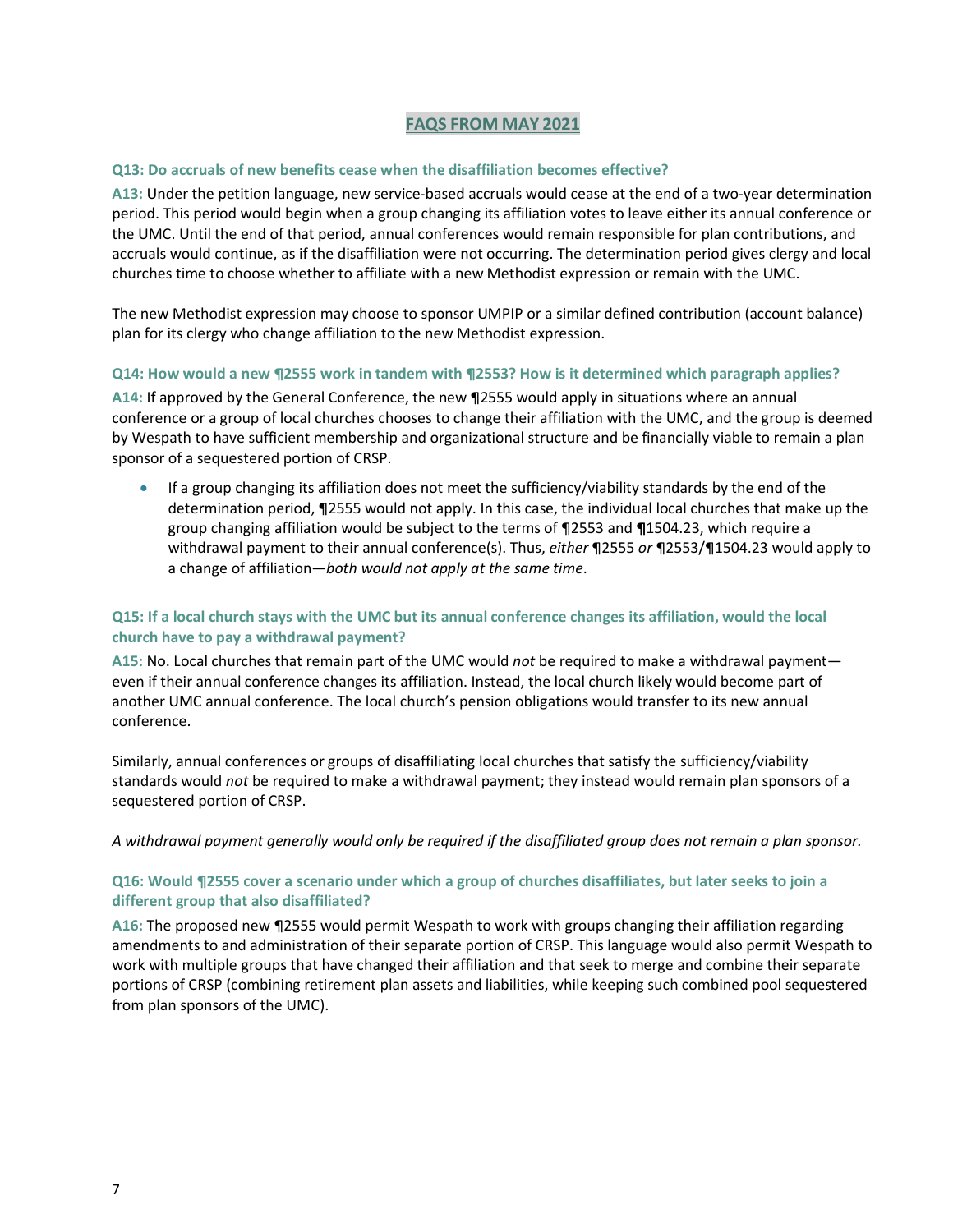#### **Q13: Do accruals of new benefits cease when the disaffiliation becomes effective?**

**A13:** Under the petition language, new service-based accruals would cease at the end of a two-year determination period. This period would begin when a group changing its affiliation votes to leave either its annual conference or the UMC. Until the end of that period, annual conferences would remain responsible for plan contributions, and accruals would continue, as if the disaffiliation were not occurring. The determination period gives clergy and local churches time to choose whether to affiliate with a new Methodist expression or remain with the UMC.

The new Methodist expression may choose to sponsor UMPIP or a similar defined contribution (account balance) plan for its clergy who change affiliation to the new Methodist expression.

#### **Q14: How would a new ¶2555 work in tandem with ¶2553? How is it determined which paragraph applies?**

**A14:** If approved by the General Conference, the new ¶2555 would apply in situations where an annual conference or a group of local churches chooses to change their affiliation with the UMC, and the group is deemed by Wespath to have sufficient membership and organizational structure and be financially viable to remain a plan sponsor of a sequestered portion of CRSP.

• If a group changing its affiliation does not meet the sufficiency/viability standards by the end of the determination period, ¶2555 would not apply. In this case, the individual local churches that make up the group changing affiliation would be subject to the terms of ¶2553 and **¶**1504.23, which require a withdrawal payment to their annual conference(s). Thus, *either* ¶2555 *or* ¶2553/¶1504.23 would apply to a change of affiliation—*both would not apply at the same time*.

## **Q15: If a local church stays with the UMC but its annual conference changes its affiliation, would the local church have to pay a withdrawal payment?**

**A15:** No. Local churches that remain part of the UMC would *not* be required to make a withdrawal payment even if their annual conference changes its affiliation. Instead, the local church likely would become part of another UMC annual conference. The local church's pension obligations would transfer to its new annual conference.

Similarly, annual conferences or groups of disaffiliating local churches that satisfy the sufficiency/viability standards would *not* be required to make a withdrawal payment; they instead would remain plan sponsors of a sequestered portion of CRSP.

*A withdrawal payment generally would only be required if the disaffiliated group does not remain a plan sponsor.* 

## **Q16: Would ¶2555 cover a scenario under which a group of churches disaffiliates, but later seeks to join a different group that also disaffiliated?**

**A16:** The proposed new ¶2555 would permit Wespath to work with groups changing their affiliation regarding amendments to and administration of their separate portion of CRSP. This language would also permit Wespath to work with multiple groups that have changed their affiliation and that seek to merge and combine their separate portions of CRSP (combining retirement plan assets and liabilities, while keeping such combined pool sequestered from plan sponsors of the UMC).